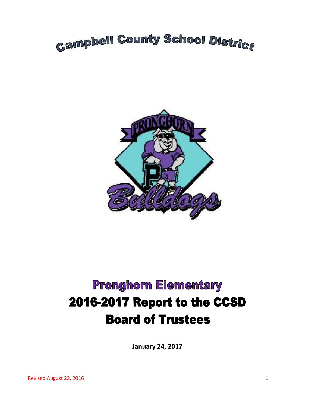# **Campbell County School District**



## **Pronghorn Elementary** 2016-2017 Report to the CCSD **Board of Trustees**

**January 24, 2017**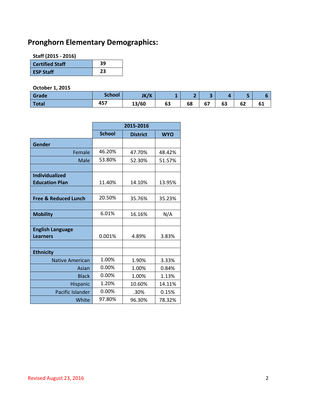### **Pronghorn Elementary Demographics:**

**Staff (2015 - 2016)**

| <b>Certified Staff</b> | 39 |
|------------------------|----|
| <b>ESP Staff</b>       | 23 |

#### **October 1, 2015**

| Grade | <b>School</b> | JK/K  | -  |    | . .                             | z  | . . |    |
|-------|---------------|-------|----|----|---------------------------------|----|-----|----|
| Total | 457           | 13/60 | 63 | 68 | $\overline{\phantom{a}}$<br>י ס | 63 | 62  | ΩT |

|                                 | 2015-2016     |                 |            |  |
|---------------------------------|---------------|-----------------|------------|--|
|                                 | <b>School</b> | <b>District</b> | <b>WYO</b> |  |
| Gender                          |               |                 |            |  |
| Female                          | 46.20%        | 47.70%          | 48.42%     |  |
| Male                            | 53.80%        | 52.30%          | 51.57%     |  |
|                                 |               |                 |            |  |
| <b>Individualized</b>           |               |                 |            |  |
| <b>Education Plan</b>           | 11.40%        | 14.10%          | 13.95%     |  |
|                                 |               |                 |            |  |
| <b>Free &amp; Reduced Lunch</b> | 20.50%        | 35.76%          | 35.23%     |  |
|                                 |               |                 |            |  |
| <b>Mobility</b>                 | 6.01%         | 16.16%          | N/A        |  |
|                                 |               |                 |            |  |
| <b>English Language</b>         |               |                 |            |  |
| <b>Learners</b>                 | 0.001%        | 4.89%           | 3.83%      |  |
|                                 |               |                 |            |  |
| <b>Ethnicity</b>                |               |                 |            |  |
| <b>Native American</b>          | 1.00%         | 1.90%           | 3.33%      |  |
| Asian                           | 0.00%         | 1.00%           | 0.84%      |  |
| <b>Black</b>                    | 0.00%         | 1.00%           | 1.13%      |  |
| Hispanic                        | 1.20%         | 10.60%          | 14.11%     |  |
| Pacific Islander                | 0.00%         | .30%            | 0.15%      |  |
| White                           | 97.80%        | 96.30%          | 78.32%     |  |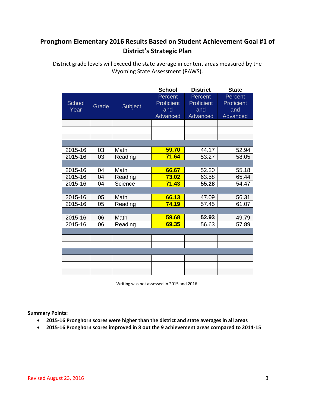#### **Pronghorn Elementary 2016 Results Based on Student Achievement Goal #1 of District's Strategic Plan**

District grade levels will exceed the state average in content areas measured by the Wyoming State Assessment (PAWS).

|         |       |         | <b>School</b> | <b>District</b> | <b>State</b> |
|---------|-------|---------|---------------|-----------------|--------------|
|         |       |         | Percent       | Percent         | Percent      |
| School  | Grade | Subject | Proficient    | Proficient      | Proficient   |
| Year    |       |         | and           | and             | and          |
|         |       |         | Advanced      | Advanced        | Advanced     |
|         |       |         |               |                 |              |
|         |       |         |               |                 |              |
|         |       |         |               |                 |              |
|         |       |         |               |                 |              |
| 2015-16 | 03    | Math    | 59.70         | 44.17           | 52.94        |
| 2015-16 | 03    | Reading | 71.64         | 53.27           | 58.05        |
|         |       |         |               |                 |              |
| 2015-16 | 04    | Math    | 66.67         | 52.20           | 55.18        |
| 2015-16 | 04    | Reading | 73.02         | 63.58           | 65.44        |
| 2015-16 | 04    | Science | 71.43         | 55.28           | 54.47        |
|         |       |         |               |                 |              |
| 2015-16 | 05    | Math    | 66.13         | 47.09           | 56.31        |
| 2015-16 | 05    | Reading | 74.19         | 57.45           | 61.07        |
|         |       |         |               |                 |              |
| 2015-16 | 06    | Math    | 59.68         | 52.93           | 49.79        |
| 2015-16 | 06    | Reading | 69.35         | 56.63           | 57.89        |
|         |       |         |               |                 |              |
|         |       |         |               |                 |              |
|         |       |         |               |                 |              |
|         |       |         |               |                 |              |
|         |       |         |               |                 |              |
|         |       |         |               |                 |              |
|         |       |         |               |                 |              |

Writing was not assessed in 2015 and 2016.

**Summary Points:**

- **2015-16 Pronghorn scores were higher than the district and state averages in all areas**
- **2015-16 Pronghorn scores improved in 8 out the 9 achievement areas compared to 2014-15**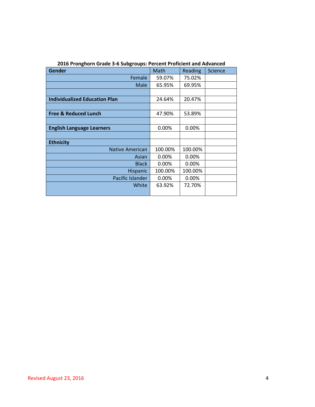| <b>Gender</b>                        | Math     | Reading | <b>Science</b> |
|--------------------------------------|----------|---------|----------------|
| Female                               | 59.07%   | 75.02%  |                |
| Male                                 | 65.95%   | 69.95%  |                |
|                                      |          |         |                |
| <b>Individualized Education Plan</b> | 24.64%   | 20.47%  |                |
|                                      |          |         |                |
| <b>Free &amp; Reduced Lunch</b>      | 47.90%   | 53.89%  |                |
|                                      |          |         |                |
| <b>English Language Learners</b>     | 0.00%    | 0.00%   |                |
|                                      |          |         |                |
| <b>Ethnicity</b>                     |          |         |                |
| <b>Native American</b>               | 100.00%  | 100.00% |                |
| Asian                                | $0.00\%$ | 0.00%   |                |
| <b>Black</b>                         | 0.00%    | 0.00%   |                |
| <b>Hispanic</b>                      | 100.00%  | 100.00% |                |
| Pacific Islander                     | $0.00\%$ | 0.00%   |                |
| White                                | 63.92%   | 72.70%  |                |
|                                      |          |         |                |

**2016 Pronghorn Grade 3-6 Subgroups: Percent Proficient and Advanced**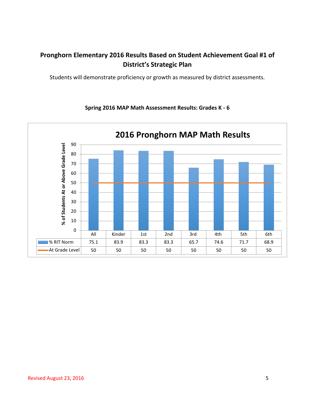#### **Pronghorn Elementary 2016 Results Based on Student Achievement Goal #1 of District's Strategic Plan**

Students will demonstrate proficiency or growth as measured by district assessments.



#### **Spring 2016 MAP Math Assessment Results: Grades K - 6**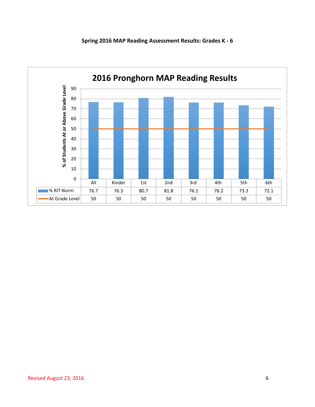

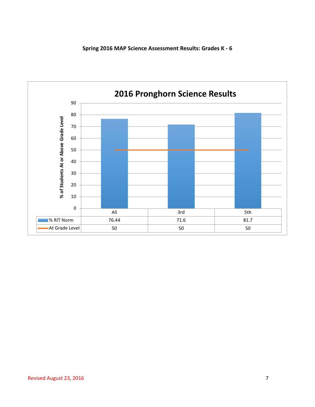

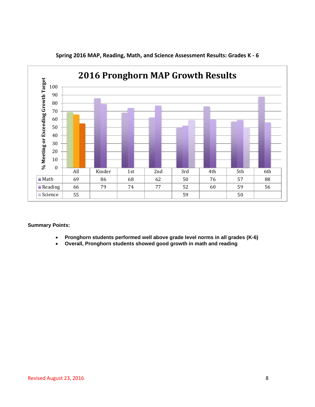

**Spring 2016 MAP, Reading, Math, and Science Assessment Results: Grades K - 6**

#### **Summary Points:**

- **Pronghorn students performed well above grade level norms in all grades (K-6)**
- **Overall, Pronghorn students showed good growth in math and reading**